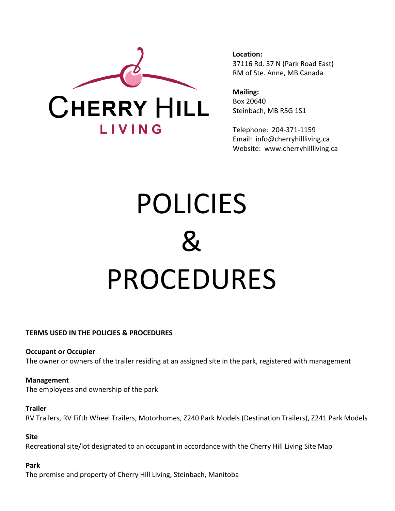

**Location:** 37116 Rd. 37 N (Park Road East) RM of Ste. Anne, MB Canada

**Mailing:** Box 20640 Steinbach, MB R5G 1S1

Telephone: 204-371-1159 Email: info@cherryhillliving.ca Website: www.cherryhillliving.ca

# POLICIES  $\mathbf{Z}$ PROCEDURES

#### **TERMS USED IN THE POLICIES & PROCEDURES**

**Occupant or Occupier** The owner or owners of the trailer residing at an assigned site in the park, registered with management

**Management** The employees and ownership of the park

#### **Trailer**

RV Trailers, RV Fifth Wheel Trailers, Motorhomes, Z240 Park Models (Destination Trailers), Z241 Park Models

#### **Site**

Recreational site/lot designated to an occupant in accordance with the Cherry Hill Living Site Map

#### **Park**

The premise and property of Cherry Hill Living, Steinbach, Manitoba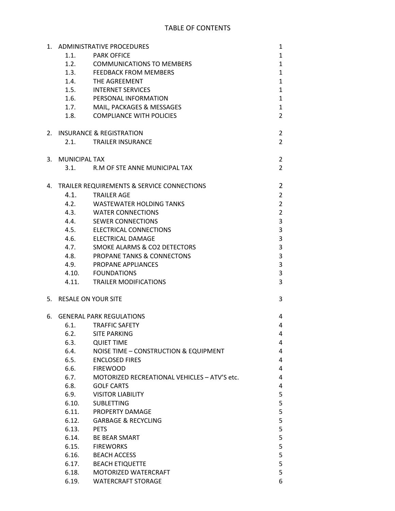| 1. |                        | <b>ADMINISTRATIVE PROCEDURES</b>             | 1              |
|----|------------------------|----------------------------------------------|----------------|
|    | 1.1.                   | <b>PARK OFFICE</b>                           | $\mathbf{1}$   |
|    |                        | 1.2. COMMUNICATIONS TO MEMBERS               | $\mathbf{1}$   |
|    |                        | 1.3. FEEDBACK FROM MEMBERS                   | $\mathbf{1}$   |
|    |                        | 1.4. THE AGREEMENT                           | $\mathbf{1}$   |
|    | 1.5.                   | <b>INTERNET SERVICES</b>                     | $\mathbf{1}$   |
|    |                        | 1.6. PERSONAL INFORMATION                    | $\mathbf{1}$   |
|    |                        | 1.7. MAIL, PACKAGES & MESSAGES               | $\mathbf{1}$   |
|    |                        | 1.8. COMPLIANCE WITH POLICIES                | $\overline{2}$ |
|    |                        |                                              |                |
| 2. |                        | INSURANCE & REGISTRATION                     | $\overline{2}$ |
|    | 2.1.                   | <b>TRAILER INSURANCE</b>                     | $\overline{2}$ |
| 3. | <b>MUNICIPAL TAX</b>   |                                              | $\overline{2}$ |
|    |                        | 3.1. R.M OF STE ANNE MUNICIPAL TAX           | $\overline{2}$ |
|    |                        |                                              |                |
| 4. |                        | TRAILER REQUIREMENTS & SERVICE CONNECTIONS   | $\overline{2}$ |
|    | 4.1.                   | TRAILER AGE                                  | $\overline{2}$ |
|    |                        | 4.2. WASTEWATER HOLDING TANKS                | $\overline{2}$ |
|    |                        | 4.3. WATER CONNECTIONS                       | $\overline{2}$ |
|    |                        | 4.4. SEWER CONNECTIONS                       | 3              |
|    |                        | 4.5. ELECTRICAL CONNECTIONS                  | 3              |
|    |                        | 4.6. ELECTRICAL DAMAGE                       | 3              |
|    |                        | 4.7. SMOKE ALARMS & CO2 DETECTORS            | 3              |
|    |                        | 4.8. PROPANE TANKS & CONNECTONS              | 3              |
|    | 4.9.                   | <b>PROPANE APPLIANCES</b>                    | 3              |
|    |                        | 4.10. FOUNDATIONS                            | 3              |
|    | 4.11.                  | TRAILER MODIFICATIONS                        | 3              |
|    |                        |                                              |                |
|    | 5. RESALE ON YOUR SITE |                                              | 3              |
| 6. |                        | <b>GENERAL PARK REGULATIONS</b>              | 4              |
|    | 6.1.                   | <b>TRAFFIC SAFETY</b>                        | 4              |
|    | 6.2.                   | <b>SITE PARKING</b>                          | 4              |
|    | 6.3.                   | <b>QUIET TIME</b>                            | 4              |
|    | 6.4.                   | NOISE TIME - CONSTRUCTION & EQUIPMENT        | 4              |
|    | 6.5.                   | <b>ENCLOSED FIRES</b>                        | 4              |
|    | 6.6.                   | <b>FIREWOOD</b>                              | 4              |
|    | 6.7.                   | MOTORIZED RECREATIONAL VEHICLES - ATV'S etc. | 4              |
|    | 6.8.                   | <b>GOLF CARTS</b>                            | 4              |
|    | 6.9.                   | <b>VISITOR LIABILITY</b>                     | 5              |
|    | 6.10.                  | <b>SUBLETTING</b>                            | 5              |
|    | 6.11.                  | PROPERTY DAMAGE                              | 5              |
|    | 6.12.                  | <b>GARBAGE &amp; RECYCLING</b>               | 5              |
|    | 6.13.                  | <b>PETS</b>                                  | 5              |
|    | 6.14.                  | <b>BE BEAR SMART</b>                         | 5              |
|    | 6.15.                  | <b>FIREWORKS</b>                             | 5              |
|    | 6.16.                  | <b>BEACH ACCESS</b>                          | 5              |
|    | 6.17.                  | <b>BEACH ETIQUETTE</b>                       | 5              |
|    | 6.18.                  | MOTORIZED WATERCRAFT                         | 5              |
|    | 6.19.                  | <b>WATERCRAFT STORAGE</b>                    | 6              |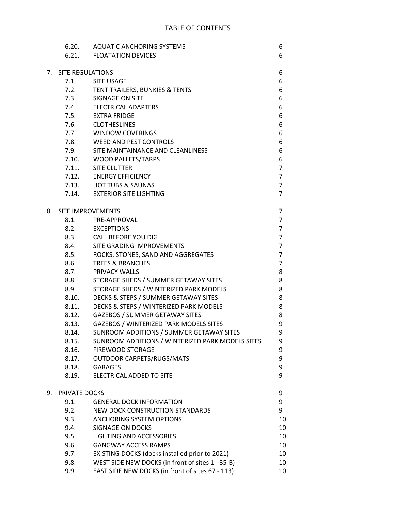|    |                  | 6.20. AQUATIC ANCHORING SYSTEMS                  | 6              |
|----|------------------|--------------------------------------------------|----------------|
|    |                  | 6.21. FLOATATION DEVICES                         | 6              |
|    |                  |                                                  |                |
| 7. | SITE REGULATIONS |                                                  | 6              |
|    |                  | 7.1. SITE USAGE                                  | 6              |
|    |                  | 7.2. TENT TRAILERS, BUNKIES & TENTS              | 6              |
|    |                  | 7.3. SIGNAGE ON SITE                             | 6              |
|    |                  | 7.4. ELECTRICAL ADAPTERS                         | 6              |
|    |                  | 7.5. EXTRA FRIDGE                                | 6              |
|    |                  | 7.6. CLOTHESLINES                                | 6              |
|    |                  | 7.7. WINDOW COVERINGS                            | 6              |
|    |                  | 7.8. WEED AND PEST CONTROLS                      | 6              |
|    |                  | 7.9. SITE MAINTAINANCE AND CLEANLINESS           | 6              |
|    |                  | 7.10. WOOD PALLETS/TARPS                         | 6              |
|    |                  | 7.11. SITE CLUTTER                               | $\overline{7}$ |
|    |                  | 7.12. ENERGY EFFICIENCY                          | $\overline{7}$ |
|    |                  | 7.13. HOT TUBS & SAUNAS                          | $\overline{7}$ |
|    |                  | 7.14. EXTERIOR SITE LIGHTING                     | $\overline{7}$ |
|    |                  |                                                  |                |
| 8. |                  | SITE IMPROVEMENTS                                | 7              |
|    |                  | 8.1. PRE-APPROVAL                                | $\overline{7}$ |
|    |                  | 8.2. EXCEPTIONS                                  | $\overline{7}$ |
|    |                  | 8.3. CALL BEFORE YOU DIG                         | $\overline{7}$ |
|    |                  | 8.4. SITE GRADING IMPROVEMENTS                   | $\overline{7}$ |
|    |                  | 8.5. ROCKS, STONES, SAND AND AGGREGATES          | $\overline{7}$ |
|    | 8.6.             | <b>TREES &amp; BRANCHES</b>                      | $\overline{7}$ |
|    |                  | 8.7. PRIVACY WALLS                               | 8              |
|    |                  | 8.8. STORAGE SHEDS / SUMMER GETAWAY SITES        | 8              |
|    | 8.9.             | STORAGE SHEDS / WINTERIZED PARK MODELS           | 8              |
|    | 8.10.            | DECKS & STEPS / SUMMER GETAWAY SITES             | 8              |
|    | 8.11.            | DECKS & STEPS / WINTERIZED PARK MODELS           | 8              |
|    | 8.12.            | <b>GAZEBOS / SUMMER GETAWAY SITES</b>            | 8              |
|    | 8.13.            | GAZEBOS / WINTERIZED PARK MODELS SITES           | 9              |
|    | 8.14.            | SUNROOM ADDITIONS / SUMMER GETAWAY SITES         | 9              |
|    | 8.15.            | SUNROOM ADDITIONS / WINTERIZED PARK MODELS SITES | 9              |
|    | 8.16.            | <b>FIREWOOD STORAGE</b>                          | 9              |
|    | 8.17.            | <b>OUTDOOR CARPETS/RUGS/MATS</b>                 | 9              |
|    | 8.18.            | <b>GARAGES</b>                                   | 9              |
|    | 8.19.            | <b>ELECTRICAL ADDED TO SITE</b>                  | 9              |
| 9. | PRIVATE DOCKS    |                                                  | 9              |
|    | 9.1.             | <b>GENERAL DOCK INFORMATION</b>                  | 9              |
|    | 9.2.             | NEW DOCK CONSTRUCTION STANDARDS                  | 9              |
|    | 9.3.             | <b>ANCHORING SYSTEM OPTIONS</b>                  | 10             |
|    | 9.4.             | SIGNAGE ON DOCKS                                 | 10             |
|    | 9.5.             | LIGHTING AND ACCESSORIES                         | 10             |
|    | 9.6.             | <b>GANGWAY ACCESS RAMPS</b>                      | 10             |
|    | 9.7.             | EXISTING DOCKS (docks installed prior to 2021)   | 10             |
|    | 9.8.             | WEST SIDE NEW DOCKS (in front of sites 1 - 35-B) | 10             |
|    | 9.9.             | EAST SIDE NEW DOCKS (in front of sites 67 - 113) | 10             |
|    |                  |                                                  |                |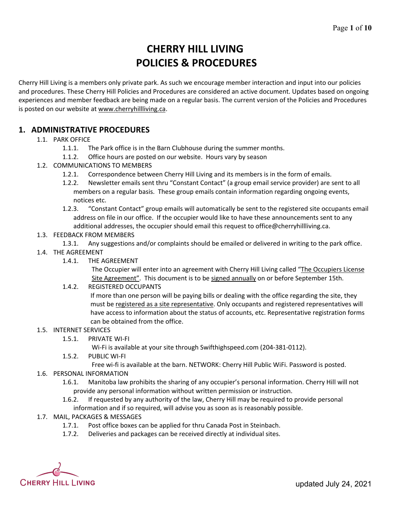# **CHERRY HILL LIVING POLICIES & PROCEDURES**

Cherry Hill Living is a members only private park. As such we encourage member interaction and input into our policies and procedures. These Cherry Hill Policies and Procedures are considered an active document. Updates based on ongoing experiences and member feedback are being made on a regular basis. The current version of the Policies and Procedures is posted on our website at www.cherryhillliving.ca.

# **1. ADMINISTRATIVE PROCEDURES**

#### 1.1. PARK OFFICE

- 1.1.1. The Park office is in the Barn Clubhouse during the summer months.
- 1.1.2. Office hours are posted on our website. Hours vary by season
- 1.2. COMMUNICATIONS TO MEMBERS
	- 1.2.1. Correspondence between Cherry Hill Living and its members is in the form of emails.
	- 1.2.2. Newsletter emails sent thru "Constant Contact" (a group email service provider) are sent to all members on a regular basis. These group emails contain information regarding ongoing events, notices etc.
	- 1.2.3. "Constant Contact" group emails will automatically be sent to the registered site occupants email address on file in our office. If the occupier would like to have these announcements sent to any additional addresses, the occupier should email this request to office@cherryhillliving.ca.
- 1.3. FEEDBACK FROM MEMBERS
- 1.3.1. Any suggestions and/or complaints should be emailed or delivered in writing to the park office.
- 1.4. THE AGREEMENT
	- 1.4.1. THE AGREEMENT

The Occupier will enter into an agreement with Cherry Hill Living called "The Occupiers License Site Agreement". This document is to be signed annually on or before September 15th.

1.4.2. REGISTERED OCCUPANTS

If more than one person will be paying bills or dealing with the office regarding the site, they must be registered as a site representative. Only occupants and registered representatives will have access to information about the status of accounts, etc. Representative registration forms can be obtained from the office.

#### 1.5. INTERNET SERVICES

1.5.1. PRIVATE WI-FI

Wi-Fi is available at your site through Swifthighspeed.com (204-381-0112).

1.5.2. PUBLIC WI-FI

Free wi-fi is available at the barn. NETWORK: Cherry Hill Public WiFi. Password is posted.

- 1.6. PERSONAL INFORMATION
	- 1.6.1. Manitoba law prohibits the sharing of any occupier's personal information. Cherry Hill will not provide any personal information without written permission or instruction.
	- 1.6.2. If requested by any authority of the law, Cherry Hill may be required to provide personal information and if so required, will advise you as soon as is reasonably possible.

#### 1.7. MAIL, PACKAGES & MESSAGES

- 1.7.1. Post office boxes can be applied for thru Canada Post in Steinbach.
- 1.7.2. Deliveries and packages can be received directly at individual sites.

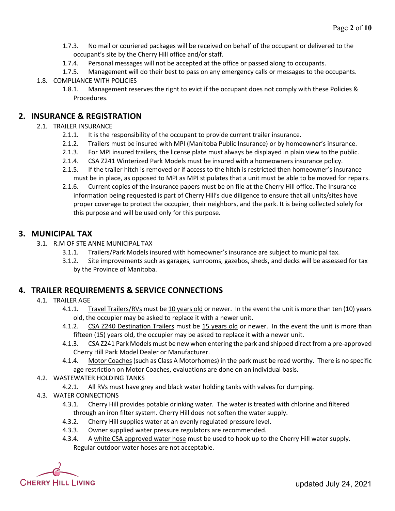- 1.7.3. No mail or couriered packages will be received on behalf of the occupant or delivered to the occupant's site by the Cherry Hill office and/or staff.
- 1.7.4. Personal messages will not be accepted at the office or passed along to occupants.
- 1.7.5. Management will do their best to pass on any emergency calls or messages to the occupants.
- 1.8. COMPLIANCE WITH POLICIES
	- 1.8.1. Management reserves the right to evict if the occupant does not comply with these Policies & Procedures.

# **2. INSURANCE & REGISTRATION**

### 2.1. TRAILER INSURANCE

- 2.1.1. It is the responsibility of the occupant to provide current trailer insurance.
- 2.1.2. Trailers must be insured with MPI (Manitoba Public Insurance) or by homeowner's insurance.
- 2.1.3. For MPI insured trailers, the license plate must always be displayed in plain view to the public.
- 2.1.4. CSA Z241 Winterized Park Models must be insured with a homeowners insurance policy.
- 2.1.5. If the trailer hitch is removed or if access to the hitch is restricted then homeowner's insurance must be in place, as opposed to MPI as MPI stipulates that a unit must be able to be moved for repairs.
- 2.1.6. Current copies of the insurance papers must be on file at the Cherry Hill office. The Insurance information being requested is part of Cherry Hill's due diligence to ensure that all units/sites have proper coverage to protect the occupier, their neighbors, and the park. It is being collected solely for this purpose and will be used only for this purpose.

# **3. MUNICIPAL TAX**

- 3.1. R.M OF STE ANNE MUNICIPAL TAX
	- 3.1.1. Trailers/Park Models insured with homeowner's insurance are subject to municipal tax.
	- 3.1.2. Site improvements such as garages, sunrooms, gazebos, sheds, and decks will be assessed for tax by the Province of Manitoba.

# **4. TRAILER REQUIREMENTS & SERVICE CONNECTIONS**

- 4.1. TRAILER AGE
	- 4.1.1. Travel Trailers/RVs must be 10 years old or newer. In the event the unit is more than ten (10) years old, the occupier may be asked to replace it with a newer unit.
	- 4.1.2. CSA Z240 Destination Trailers must be 15 years old or newer. In the event the unit is more than fifteen (15) years old, the occupier may be asked to replace it with a newer unit.
	- 4.1.3. CSA Z241 Park Models must be new when entering the park and shipped direct from a pre-approved Cherry Hill Park Model Dealer or Manufacturer.
	- 4.1.4. Motor Coaches (such as Class A Motorhomes) in the park must be road worthy. There is no specific age restriction on Motor Coaches, evaluations are done on an individual basis.
- 4.2. WASTEWATER HOLDING TANKS
	- 4.2.1. All RVs must have grey and black water holding tanks with valves for dumping.
- 4.3. WATER CONNECTIONS
	- 4.3.1. Cherry Hill provides potable drinking water. The water is treated with chlorine and filtered through an iron filter system. Cherry Hill does not soften the water supply.
	- 4.3.2. Cherry Hill supplies water at an evenly regulated pressure level.
	- 4.3.3. Owner supplied water pressure regulators are recommended.
	- 4.3.4. A white CSA approved water hose must be used to hook up to the Cherry Hill water supply. Regular outdoor water hoses are not acceptable.

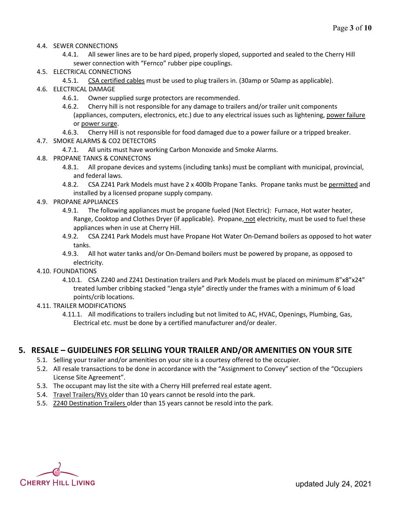- 4.4. SEWER CONNECTIONS
	- 4.4.1. All sewer lines are to be hard piped, properly sloped, supported and sealed to the Cherry Hill sewer connection with "Fernco" rubber pipe couplings.
- 4.5. ELECTRICAL CONNECTIONS
	- 4.5.1. CSA certified cables must be used to plug trailers in. (30amp or 50amp as applicable).
- 4.6. ELECTRICAL DAMAGE
	- 4.6.1. Owner supplied surge protectors are recommended.
	- 4.6.2. Cherry hill is not responsible for any damage to trailers and/or trailer unit components (appliances, computers, electronics, etc.) due to any electrical issues such as lightening, power failure or power surge.
	- 4.6.3. Cherry Hill is not responsible for food damaged due to a power failure or a tripped breaker.
- 4.7. SMOKE ALARMS & CO2 DETECTORS
	- 4.7.1. All units must have working Carbon Monoxide and Smoke Alarms.
- 4.8. PROPANE TANKS & CONNECTONS
	- 4.8.1. All propane devices and systems (including tanks) must be compliant with municipal, provincial, and federal laws.
	- 4.8.2. CSA Z241 Park Models must have 2 x 400lb Propane Tanks. Propane tanks must be permitted and installed by a licensed propane supply company.
- 4.9. PROPANE APPLIANCES
	- 4.9.1. The following appliances must be propane fueled (Not Electric): Furnace, Hot water heater, Range, Cooktop and Clothes Dryer (if applicable). Propane, not electricity, must be used to fuel these appliances when in use at Cherry Hill.
	- 4.9.2. CSA Z241 Park Models must have Propane Hot Water On-Demand boilers as opposed to hot water tanks.
	- 4.9.3. All hot water tanks and/or On-Demand boilers must be powered by propane, as opposed to electricity.
- 4.10. FOUNDATIONS
	- 4.10.1. CSA Z240 and Z241 Destination trailers and Park Models must be placed on minimum 8"x8"x24" treated lumber cribbing stacked "Jenga style" directly under the frames with a minimum of 6 load points/crib locations.
- 4.11. TRAILER MODIFICATIONS
	- 4.11.1. All modifications to trailers including but not limited to AC, HVAC, Openings, Plumbing, Gas, Electrical etc. must be done by a certified manufacturer and/or dealer.

## **5. RESALE – GUIDELINES FOR SELLING YOUR TRAILER AND/OR AMENITIES ON YOUR SITE**

- 5.1. Selling your trailer and/or amenities on your site is a courtesy offered to the occupier.
- 5.2. All resale transactions to be done in accordance with the "Assignment to Convey" section of the "Occupiers License Site Agreement".
- 5.3. The occupant may list the site with a Cherry Hill preferred real estate agent.
- 5.4. Travel Trailers/RVs older than 10 years cannot be resold into the park.
- 5.5. Z240 Destination Trailers older than 15 years cannot be resold into the park.

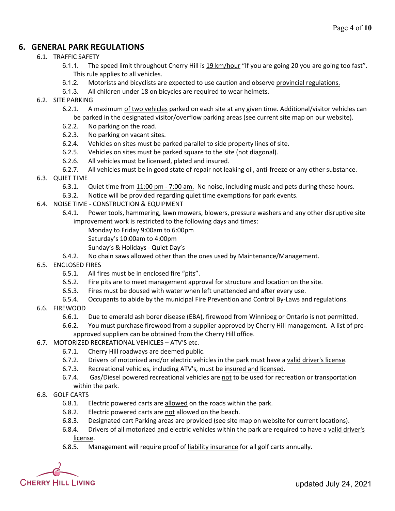# **6. GENERAL PARK REGULATIONS**

#### 6.1. TRAFFIC SAFETY

- 6.1.1. The speed limit throughout Cherry Hill is 19 km/hour "If you are going 20 you are going too fast". This rule applies to all vehicles.
- 6.1.2. Motorists and bicyclists are expected to use caution and observe provincial regulations.
- 6.1.3. All children under 18 on bicycles are required to wear helmets.
- 6.2. SITE PARKING
	- 6.2.1. A maximum of two vehicles parked on each site at any given time. Additional/visitor vehicles can be parked in the designated visitor/overflow parking areas (see current site map on our website).
	- 6.2.2. No parking on the road.
	- 6.2.3. No parking on vacant sites.
	- 6.2.4. Vehicles on sites must be parked parallel to side property lines of site.
	- 6.2.5. Vehicles on sites must be parked square to the site (not diagonal).
	- 6.2.6. All vehicles must be licensed, plated and insured.
	- 6.2.7. All vehicles must be in good state of repair not leaking oil, anti-freeze or any other substance.
- 6.3. QUIET TIME
	- 6.3.1. Quiet time from 11:00 pm 7:00 am. No noise, including music and pets during these hours.
	- 6.3.2. Notice will be provided regarding quiet time exemptions for park events.
- 6.4. NOISE TIME CONSTRUCTION & EQUIPMENT
	- 6.4.1. Power tools, hammering, lawn mowers, blowers, pressure washers and any other disruptive site improvement work is restricted to the following days and times:
		- Monday to Friday 9:00am to 6:00pm
		- Saturday's 10:00am to 4:00pm
		- Sunday's & Holidays Quiet Day's
	- 6.4.2. No chain saws allowed other than the ones used by Maintenance/Management.
- 6.5. ENCLOSED FIRES
	- 6.5.1. All fires must be in enclosed fire "pits".
	- 6.5.2. Fire pits are to meet management approval for structure and location on the site.
	- 6.5.3. Fires must be doused with water when left unattended and after every use.
	- 6.5.4. Occupants to abide by the municipal Fire Prevention and Control By-Laws and regulations.
- 6.6. FIREWOOD
	- 6.6.1. Due to emerald ash borer disease (EBA), firewood from Winnipeg or Ontario is not permitted.
	- 6.6.2. You must purchase firewood from a supplier approved by Cherry Hill management. A list of preapproved suppliers can be obtained from the Cherry Hill office.
- 6.7. MOTORIZED RECREATIONAL VEHICLES ATV'S etc.
	- 6.7.1. Cherry Hill roadways are deemed public.
	- 6.7.2. Drivers of motorized and/or electric vehicles in the park must have a valid driver's license.
	- 6.7.3. Recreational vehicles, including ATV's, must be insured and licensed.
	- 6.7.4. Gas/Diesel powered recreational vehicles are not to be used for recreation or transportation within the park.
- 6.8. GOLF CARTS
	- 6.8.1. Electric powered carts are allowed on the roads within the park.
	- 6.8.2. Electric powered carts are not allowed on the beach.
	- 6.8.3. Designated cart Parking areas are provided (see site map on website for current locations).
	- 6.8.4. Drivers of all motorized and electric vehicles within the park are required to have a valid driver's license.
	- 6.8.5. Management will require proof of liability insurance for all golf carts annually.

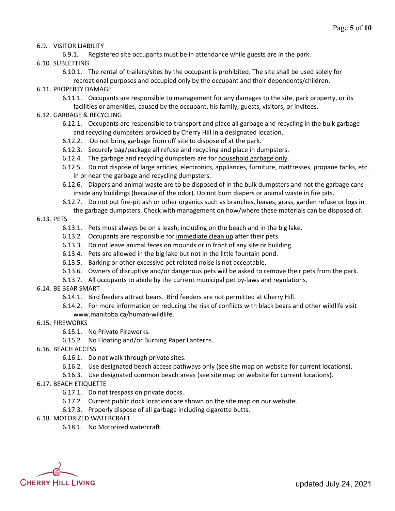#### 6.9. VISITOR LIABILITY

6.9.1. Registered site occupants must be in attendance while guests are in the park.

- 6.10. SUBLETTING
	- 6.10.1. The rental of trailers/sites by the occupant is prohibited. The site shall be used solely for recreational purposes and occupied only by the occupant and their dependents/children.
- 6.11. PROPERTY DAMAGE
	- 6.11.1. Occupants are responsible to management for any damages to the site, park property, or its facilities or amenities, caused by the occupant, his family, guests, visitors, or invitees.
- 6.12. GARBAGE & RECYCLING
	- 6.12.1. Occupants are responsible to transport and place all garbage and recycling in the bulk garbage and recycling dumpsters provided by Cherry Hill in a designated location.
	- 6.12.2. Do not bring garbage from off site to dispose of at the park.
	- 6.12.3. Securely bag/package all refuse and recycling and place in dumpsters.
	- 6.12.4. The garbage and recycling dumpsters are for household garbage only.
	- 6.12.5. Do not dispose of large articles, electronics, appliances, furniture, mattresses, propane tanks, etc. in or near the garbage and recycling dumpsters.
	- 6.12.6. Diapers and animal waste are to be disposed of in the bulk dumpsters and not the garbage cans inside any buildings (because of the odor). Do not burn diapers or animal waste in fire pits.
	- 6.12.7. Do not put fire-pit ash or other organics such as branches, leaves, grass, garden refuse or logs in the garbage dumpsters. Check with management on how/where these materials can be disposed of.

#### 6.13. PETS

- 6.13.1. Pets must always be on a leash, including on the beach and in the big lake.
- 6.13.2. Occupants are responsible for immediate clean up after their pets.
- 6.13.3. Do not leave animal feces on mounds or in front of any site or building.
- 6.13.4. Pets are allowed in the big lake but not in the little fountain pond.
- 6.13.5. Barking or other excessive pet related noise is not acceptable.
- 6.13.6. Owners of disruptive and/or dangerous pets will be asked to remove their pets from the park.
- 6.13.7. All occupants to abide by the current municipal pet by-laws and regulations.

#### 6.14. BE BEAR SMART

- 6.14.1. Bird feeders attract bears. Bird feeders are not permitted at Cherry Hill.
- 6.14.2. For more information on reducing the risk of conflicts with black bears and other wildlife visit www.manitoba.ca/human-wildlife.
- 6.15. FIREWORKS
	- 6.15.1. No Private Fireworks.
	- 6.15.2. No Floating and/or Burning Paper Lanterns.
- 6.16. BEACH ACCESS
	- 6.16.1. Do not walk through private sites.
	- 6.16.2. Use designated beach access pathways only (see site map on website for current locations).
	- 6.16.3. Use designated common beach areas (see site map on website for current locations).
- 6.17. BEACH ETIQUETTE
	- 6.17.1. Do not trespass on private docks.
	- 6.17.2. Current public dock locations are shown on the site map on our website.
	- 6.17.3. Properly dispose of all garbage including cigarette butts.

#### 6.18. MOTORIZED WATERCRAFT

6.18.1. No Motorized watercraft.

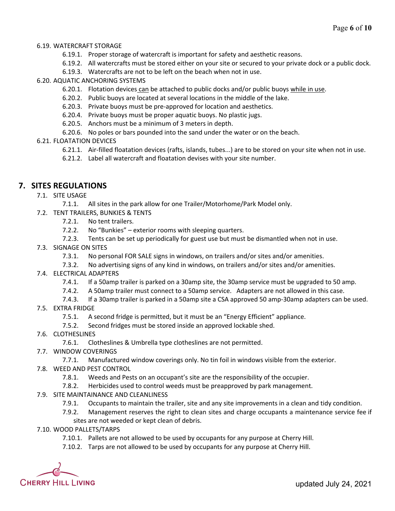#### 6.19. WATERCRAFT STORAGE

- 6.19.1. Proper storage of watercraft is important for safety and aesthetic reasons.
- 6.19.2. All watercrafts must be stored either on your site or secured to your private dock or a public dock.
- 6.19.3. Watercrafts are not to be left on the beach when not in use.

#### 6.20. AQUATIC ANCHORING SYSTEMS

- 6.20.1. Flotation devices can be attached to public docks and/or public buoys while in use.
- 6.20.2. Public buoys are located at several locations in the middle of the lake.
- 6.20.3. Private buoys must be pre-approved for location and aesthetics.
- 6.20.4. Private buoys must be proper aquatic buoys. No plastic jugs.
- 6.20.5. Anchors must be a minimum of 3 meters in depth.
- 6.20.6. No poles or bars pounded into the sand under the water or on the beach.

#### 6.21. FLOATATION DEVICES

- 6.21.1. Air-filled floatation devices (rafts, islands, tubes...) are to be stored on your site when not in use.
- 6.21.2. Label all watercraft and floatation devises with your site number.

# **7. SITES REGULATIONS**

- 7.1. SITE USAGE
	- 7.1.1. All sites in the park allow for one Trailer/Motorhome/Park Model only.
- 7.2. TENT TRAILERS, BUNKIES & TENTS
	- 7.2.1. No tent trailers.
	- 7.2.2. No "Bunkies" exterior rooms with sleeping quarters.
	- 7.2.3. Tents can be set up periodically for guest use but must be dismantled when not in use.
- 7.3. SIGNAGE ON SITES
	- 7.3.1. No personal FOR SALE signs in windows, on trailers and/or sites and/or amenities.
	- 7.3.2. No advertising signs of any kind in windows, on trailers and/or sites and/or amenities.
- 7.4. ELECTRICAL ADAPTERS
	- 7.4.1. If a 50amp trailer is parked on a 30amp site, the 30amp service must be upgraded to 50 amp.
	- 7.4.2. A 50amp trailer must connect to a 50amp service. Adapters are not allowed in this case.
	- 7.4.3. If a 30amp trailer is parked in a 50amp site a CSA approved 50 amp-30amp adapters can be used.
- 7.5. EXTRA FRIDGE
	- 7.5.1. A second fridge is permitted, but it must be an "Energy Efficient" appliance.
	- 7.5.2. Second fridges must be stored inside an approved lockable shed.
- 7.6. CLOTHESLINES
	- 7.6.1. Clotheslines & Umbrella type clotheslines are not permitted.
- 7.7. WINDOW COVERINGS
	- 7.7.1. Manufactured window coverings only. No tin foil in windows visible from the exterior.
- 7.8. WEED AND PEST CONTROL
	- 7.8.1. Weeds and Pests on an occupant's site are the responsibility of the occupier.
	- 7.8.2. Herbicides used to control weeds must be preapproved by park management.
- 7.9. SITE MAINTAINANCE AND CLEANLINESS
	- 7.9.1. Occupants to maintain the trailer, site and any site improvements in a clean and tidy condition.
	- 7.9.2. Management reserves the right to clean sites and charge occupants a maintenance service fee if sites are not weeded or kept clean of debris.
- 7.10. WOOD PALLETS/TARPS
	- 7.10.1. Pallets are not allowed to be used by occupants for any purpose at Cherry Hill.
	- 7.10.2. Tarps are not allowed to be used by occupants for any purpose at Cherry Hill.

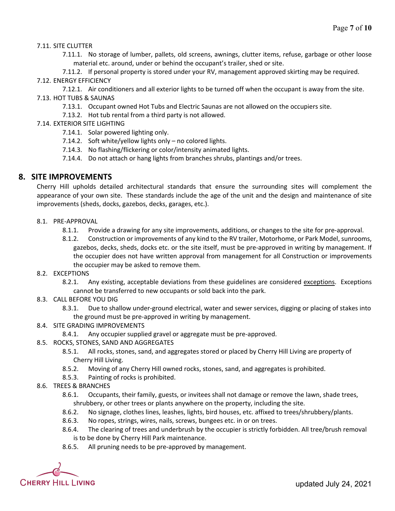#### 7.11. SITE CLUTTER

7.11.1. No storage of lumber, pallets, old screens, awnings, clutter items, refuse, garbage or other loose material etc. around, under or behind the occupant's trailer, shed or site.

7.11.2. If personal property is stored under your RV, management approved skirting may be required. 7.12. ENERGY EFFICIENCY

- 7.12.1. Air conditioners and all exterior lights to be turned off when the occupant is away from the site. 7.13. HOT TUBS & SAUNAS
	- 7.13.1. Occupant owned Hot Tubs and Electric Saunas are not allowed on the occupiers site.
	- 7.13.2. Hot tub rental from a third party is not allowed.
- 7.14. EXTERIOR SITE LIGHTING
	- 7.14.1. Solar powered lighting only.
	- 7.14.2. Soft white/yellow lights only no colored lights.
	- 7.14.3. No flashing/flickering or color/intensity animated lights.
	- 7.14.4. Do not attach or hang lights from branches shrubs, plantings and/or trees.

#### **8. SITE IMPROVEMENTS**

Cherry Hill upholds detailed architectural standards that ensure the surrounding sites will complement the appearance of your own site. These standards include the age of the unit and the design and maintenance of site improvements (sheds, docks, gazebos, decks, garages, etc.).

- 8.1. PRE-APPROVAL
	- 8.1.1. Provide a drawing for any site improvements, additions, or changes to the site for pre-approval.
	- 8.1.2. Construction or improvements of any kind to the RV trailer, Motorhome, or Park Model, sunrooms, gazebos, decks, sheds, docks etc. or the site itself, must be pre-approved in writing by management. If the occupier does not have written approval from management for all Construction or improvements the occupier may be asked to remove them.
- 8.2. EXCEPTIONS

8.2.1. Any existing, acceptable deviations from these guidelines are considered exceptions. Exceptions cannot be transferred to new occupants or sold back into the park.

- 8.3. CALL BEFORE YOU DIG
	- 8.3.1. Due to shallow under-ground electrical, water and sewer services, digging or placing of stakes into the ground must be pre-approved in writing by management.
- 8.4. SITE GRADING IMPROVEMENTS
	- 8.4.1. Any occupier supplied gravel or aggregate must be pre-approved.
- 8.5. ROCKS, STONES, SAND AND AGGREGATES
	- 8.5.1. All rocks, stones, sand, and aggregates stored or placed by Cherry Hill Living are property of Cherry Hill Living.
	- 8.5.2. Moving of any Cherry Hill owned rocks, stones, sand, and aggregates is prohibited.
	- 8.5.3. Painting of rocks is prohibited.
- 8.6. TREES & BRANCHES
	- 8.6.1. Occupants, their family, guests, or invitees shall not damage or remove the lawn, shade trees, shrubbery, or other trees or plants anywhere on the property, including the site.
	- 8.6.2. No signage, clothes lines, leashes, lights, bird houses, etc. affixed to trees/shrubbery/plants.
	- 8.6.3. No ropes, strings, wires, nails, screws, bungees etc. in or on trees.
	- 8.6.4. The clearing of trees and underbrush by the occupier is strictly forbidden. All tree/brush removal is to be done by Cherry Hill Park maintenance.
	- 8.6.5. All pruning needs to be pre-approved by management.

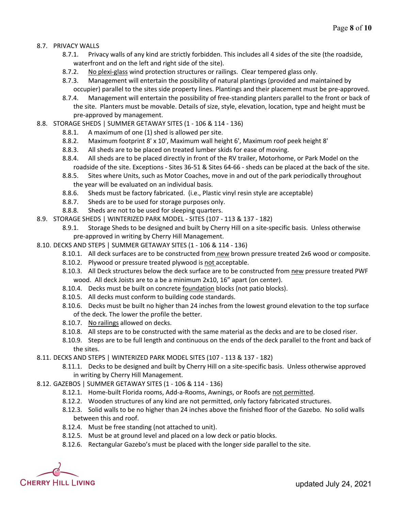- 8.7. PRIVACY WALLS
	- 8.7.1. Privacy walls of any kind are strictly forbidden. This includes all 4 sides of the site (the roadside, waterfront and on the left and right side of the site).
	- 8.7.2. No plexi-glass wind protection structures or railings. Clear tempered glass only.
	- 8.7.3. Management will entertain the possibility of natural plantings (provided and maintained by occupier) parallel to the sites side property lines. Plantings and their placement must be pre-approved.
	- 8.7.4. Management will entertain the possibility of free-standing planters parallel to the front or back of the site. Planters must be movable. Details of size, style, elevation, location, type and height must be pre-approved by management.
- 8.8. STORAGE SHEDS | SUMMER GETAWAY SITES (1 106 & 114 136)
	- 8.8.1. A maximum of one (1) shed is allowed per site.
	- 8.8.2. Maximum footprint 8' x 10', Maximum wall height 6', Maximum roof peek height 8'
	- 8.8.3. All sheds are to be placed on treated lumber skids for ease of moving.
	- 8.8.4. All sheds are to be placed directly in front of the RV trailer, Motorhome, or Park Model on the roadside of the site. Exceptions - Sites 36-51 & Sites 64-66 - sheds can be placed at the back of the site.
	- 8.8.5. Sites where Units, such as Motor Coaches, move in and out of the park periodically throughout the year will be evaluated on an individual basis.
	- 8.8.6. Sheds must be factory fabricated. (i.e., Plastic vinyl resin style are acceptable)
	- 8.8.7. Sheds are to be used for storage purposes only.
	- 8.8.8. Sheds are not to be used for sleeping quarters.
- 8.9. STORAGE SHEDS | WINTERIZED PARK MODEL SITES (107 113 & 137 182)
	- 8.9.1. Storage Sheds to be designed and built by Cherry Hill on a site-specific basis. Unless otherwise pre-approved in writing by Cherry Hill Management.
- 8.10. DECKS AND STEPS | SUMMER GETAWAY SITES (1 106 & 114 136)
	- 8.10.1. All deck surfaces are to be constructed from new brown pressure treated 2x6 wood or composite.
	- 8.10.2. Plywood or pressure treated plywood is not acceptable.
	- 8.10.3. All Deck structures below the deck surface are to be constructed from new pressure treated PWF wood. All deck Joists are to a be a minimum 2x10, 16" apart (on center).
	- 8.10.4. Decks must be built on concrete foundation blocks (not patio blocks).
	- 8.10.5. All decks must conform to building code standards.
	- 8.10.6. Decks must be built no higher than 24 inches from the lowest ground elevation to the top surface of the deck. The lower the profile the better.
	- 8.10.7. No railings allowed on decks.
	- 8.10.8. All steps are to be constructed with the same material as the decks and are to be closed riser.
	- 8.10.9. Steps are to be full length and continuous on the ends of the deck parallel to the front and back of the sites.
- 8.11. DECKS AND STEPS | WINTERIZED PARK MODEL SITES (107 113 & 137 182)
	- 8.11.1. Decks to be designed and built by Cherry Hill on a site-specific basis. Unless otherwise approved in writing by Cherry Hill Management.
- 8.12. GAZEBOS | SUMMER GETAWAY SITES (1 106 & 114 136)
	- 8.12.1. Home-built Florida rooms, Add-a-Rooms, Awnings, or Roofs are not permitted.
	- 8.12.2. Wooden structures of any kind are not permitted, only factory fabricated structures.
	- 8.12.3. Solid walls to be no higher than 24 inches above the finished floor of the Gazebo. No solid walls between this and roof.
	- 8.12.4. Must be free standing (not attached to unit).
	- 8.12.5. Must be at ground level and placed on a low deck or patio blocks.
	- 8.12.6. Rectangular Gazebo's must be placed with the longer side parallel to the site.

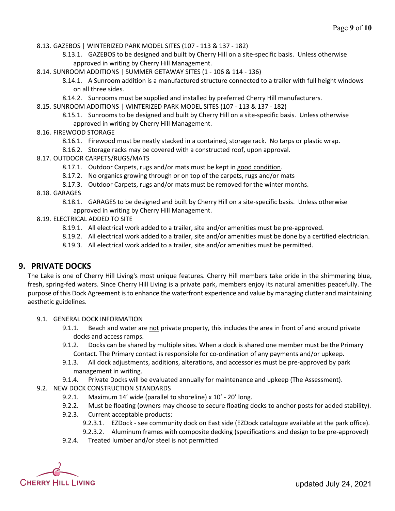8.13. GAZEBOS | WINTERIZED PARK MODEL SITES (107 - 113 & 137 - 182)

8.13.1. GAZEBOS to be designed and built by Cherry Hill on a site-specific basis. Unless otherwise approved in writing by Cherry Hill Management.

8.14. SUNROOM ADDITIONS | SUMMER GETAWAY SITES (1 - 106 & 114 - 136)

- 8.14.1. A Sunroom addition is a manufactured structure connected to a trailer with full height windows on all three sides.
- 8.14.2. Sunrooms must be supplied and installed by preferred Cherry Hill manufacturers.

8.15. SUNROOM ADDITIONS | WINTERIZED PARK MODEL SITES (107 - 113 & 137 - 182)

- 8.15.1. Sunrooms to be designed and built by Cherry Hill on a site-specific basis. Unless otherwise approved in writing by Cherry Hill Management.
- 8.16. FIREWOOD STORAGE
	- 8.16.1. Firewood must be neatly stacked in a contained, storage rack. No tarps or plastic wrap.
	- 8.16.2. Storage racks may be covered with a constructed roof, upon approval.
- 8.17. OUTDOOR CARPETS/RUGS/MATS
	- 8.17.1. Outdoor Carpets, rugs and/or mats must be kept in good condition.
	- 8.17.2. No organics growing through or on top of the carpets, rugs and/or mats
	- 8.17.3. Outdoor Carpets, rugs and/or mats must be removed for the winter months.

8.18. GARAGES

- 8.18.1. GARAGES to be designed and built by Cherry Hill on a site-specific basis. Unless otherwise approved in writing by Cherry Hill Management.
- 8.19. ELECTRICAL ADDED TO SITE
	- 8.19.1. All electrical work added to a trailer, site and/or amenities must be pre-approved.
	- 8.19.2. All electrical work added to a trailer, site and/or amenities must be done by a certified electrician.
	- 8.19.3. All electrical work added to a trailer, site and/or amenities must be permitted.

#### **9. PRIVATE DOCKS**

The Lake is one of Cherry Hill Living's most unique features. Cherry Hill members take pride in the shimmering blue, fresh, spring-fed waters. Since Cherry Hill Living is a private park, members enjoy its natural amenities peacefully. The purpose of this Dock Agreement isto enhance the waterfront experience and value by managing clutter and maintaining aesthetic guidelines.

#### 9.1. GENERAL DOCK INFORMATION

- 9.1.1. Beach and water are not private property, this includes the area in front of and around private docks and access ramps.
- 9.1.2. Docks can be shared by multiple sites. When a dock is shared one member must be the Primary Contact. The Primary contact is responsible for co-ordination of any payments and/or upkeep.
- 9.1.3. All dock adjustments, additions, alterations, and accessories must be pre-approved by park management in writing.
- 9.1.4. Private Docks will be evaluated annually for maintenance and upkeep (The Assessment).

#### 9.2. NEW DOCK CONSTRUCTION STANDARDS

- 9.2.1. Maximum 14' wide (parallel to shoreline) x 10' 20' long.
- 9.2.2. Must be floating (owners may choose to secure floating docks to anchor posts for added stability).
- 9.2.3. Current acceptable products:
	- 9.2.3.1. EZDock see community dock on East side (EZDock catalogue available at the park office).
	- 9.2.3.2. Aluminum frames with composite decking (specifications and design to be pre-approved)
- 9.2.4. Treated lumber and/or steel is not permitted